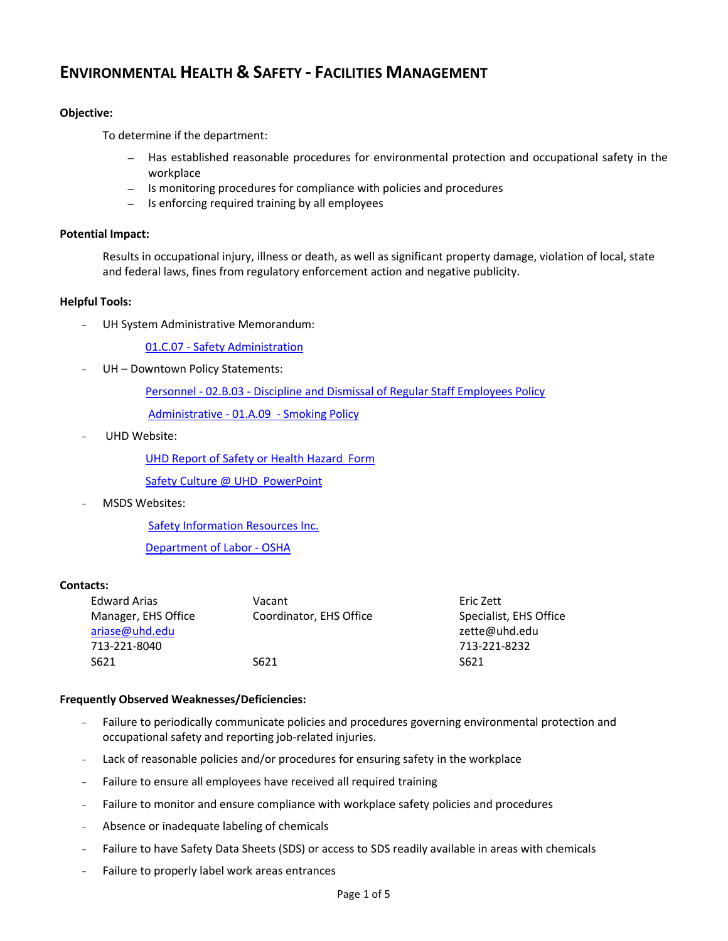# **ENVIRONMENTAL HEALTH & SAFETY - FACILITIES MANAGEMENT**

## **Objective:**

To determine if the department:

- *–* Has established reasonable procedures for environmental protection and occupational safety in the workplace
- *–* Is monitoring procedures for compliance with policies and procedures
- *–* Is enforcing required training by all employees

#### **Potential Impact:**

Results in occupational injury, illness or death, as well as significant property damage, violation of local, state and federal laws, fines from regulatory enforcement action and negative publicity.

### **Helpful Tools:**

UH System Administrative Memorandum:

01.C.07 - [Safety Administration](http://www.uhsa.uh.edu/sam/1GenAdmin/1C7.pdf)

UH - Downtown Policy Statements:

Personnel - 02.B.03 - [Discipline and Dismissal of Regular Staff Employees Policy](http://www.uhd.edu/about/hr/PS02B03.pdf)

[Administrative -](file:///C:/Documents%20and%20Settings/cookm/Local%20Settings/Temporary%20Internet%20Files/Content.Outlook/UHD%20Policies/PS01A09%20-%20Smoking.pdf) 01.A.09 - Smoking Policy

UHD Website:

[UHD Report of Safety or Health Hazard Form](file://hawaii.uhd.campus/rmc$/eh&s/EHS%20Forms%20&%20Manuals/EHS%20Forms/Report%20of%20Safety%20or%20Health%20Hazard--Interactive.pdf)

[Safety Culture @ UHD PowerPoint](file:///C:/Documents%20and%20Settings/cookm/My%20Documents/Devstaging/facultyandstaff/compliance/documents/SafetyCultureatUHD.pptx)

MSDS Websites:

[Safety Information Resources Inc.](http://hazard.com/msds/index.php) 

[Department of Labor -](http://www.osha.gov/web/dep/chemicaldata/#target) OSHA

## **Contacts:**

| <b>Edward Arias</b> | Vacant                  | Eric Zett              |
|---------------------|-------------------------|------------------------|
| Manager, EHS Office | Coordinator, EHS Office | Specialist, EHS Office |
| ariase@uhd.edu      |                         | zette@uhd.edu          |
| 713-221-8040        |                         | 713-221-8232           |
| S621                | S621                    | S621                   |
|                     |                         |                        |

## **Frequently Observed Weaknesses/Deficiencies:**

- Failure to periodically communicate policies and procedures governing environmental protection and occupational safety and reporting job-related injuries.
- Lack of reasonable policies and/or procedures for ensuring safety in the workplace
- Failure to ensure all employees have received all required training
- Failure to monitor and ensure compliance with workplace safety policies and procedures
- Absence or inadequate labeling of chemicals
- Failure to have Safety Data Sheets (SDS) or access to SDS readily available in areas with chemicals
- Failure to properly label work areas entrances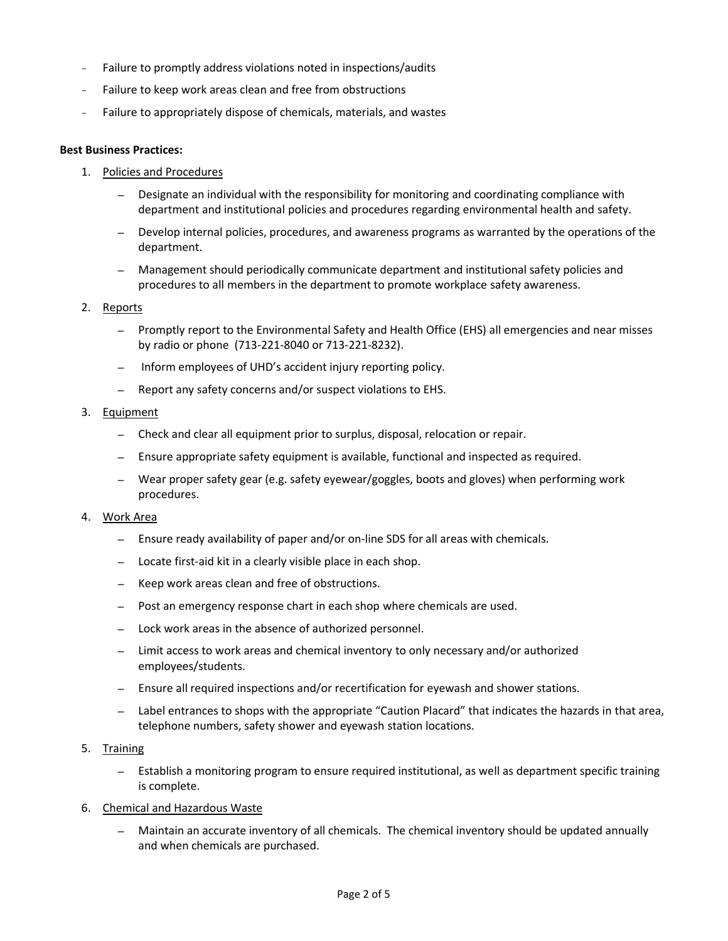- Failure to promptly address violations noted in inspections/audits
- Failure to keep work areas clean and free from obstructions
- Failure to appropriately dispose of chemicals, materials, and wastes

#### **Best Business Practices:**

- 1. Policies and Procedures
	- *–* Designate an individual with the responsibility for monitoring and coordinating compliance with department and institutional policies and procedures regarding environmental health and safety.
	- *–* Develop internal policies, procedures, and awareness programs as warranted by the operations of the department.
	- *–* Management should periodically communicate department and institutional safety policies and procedures to all members in the department to promote workplace safety awareness.

#### 2. Reports

- *–* Promptly report to the Environmental Safety and Health Office (EHS) all emergencies and near misses by radio or phone (713-221-8040 or 713-221-8232).
- *–* Inform employees of UHD's accident injury reporting policy.
- *–* Report any safety concerns and/or suspect violations to EHS.

### 3. Equipment

- *–* Check and clear all equipment prior to surplus, disposal, relocation or repair.
- *–* Ensure appropriate safety equipment is available, functional and inspected as required.
- *–* Wear proper safety gear (e.g. safety eyewear/goggles, boots and gloves) when performing work procedures.

#### 4. Work Area

- *–* Ensure ready availability of paper and/or on-line SDS for all areas with chemicals.
- *–* Locate first-aid kit in a clearly visible place in each shop.
- *–* Keep work areas clean and free of obstructions.
- *–* Post an emergency response chart in each shop where chemicals are used.
- *–* Lock work areas in the absence of authorized personnel.
- *–* Limit access to work areas and chemical inventory to only necessary and/or authorized employees/students.
- *–* Ensure all required inspections and/or recertification for eyewash and shower stations.
- *–* Label entrances to shops with the appropriate "Caution Placard" that indicates the hazards in that area, telephone numbers, safety shower and eyewash station locations.
- 5. Training
	- *–* Establish a monitoring program to ensure required institutional, as well as department specific training is complete.
- 6. Chemical and Hazardous Waste
	- *–* Maintain an accurate inventory of all chemicals. The chemical inventory should be updated annually and when chemicals are purchased.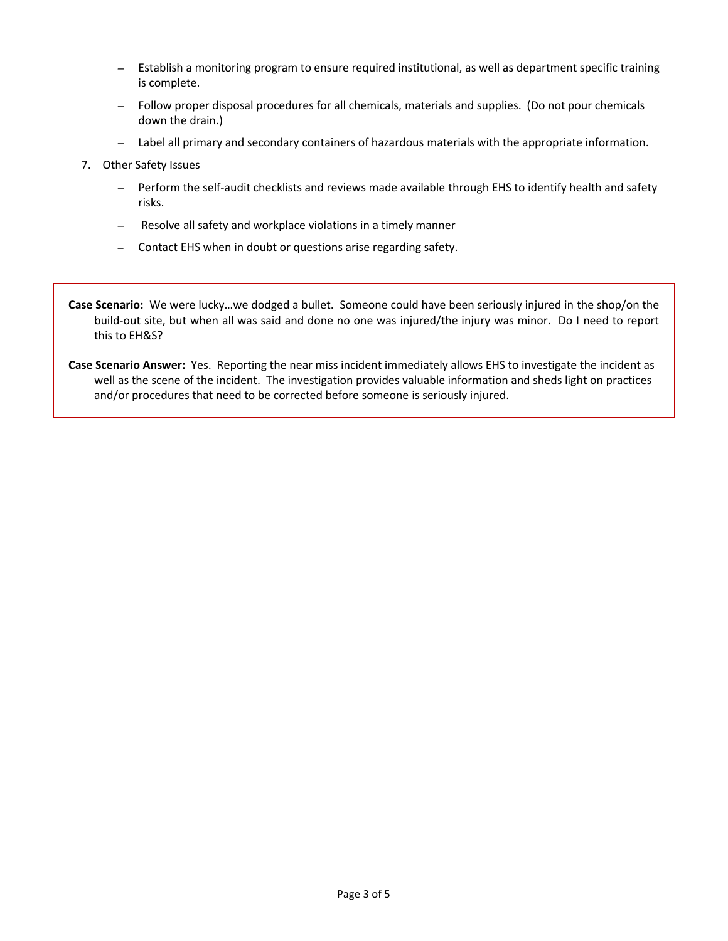- *–* Establish a monitoring program to ensure required institutional, as well as department specific training is complete.
- *–* Follow proper disposal procedures for all chemicals, materials and supplies. (Do not pour chemicals down the drain.)
- *–* Label all primary and secondary containers of hazardous materials with the appropriate information.
- 7. Other Safety Issues
	- *–* Perform the self-audit checklists and reviews made available through EHS to identify health and safety risks.
	- *–* Resolve all safety and workplace violations in a timely manner
	- *–* Contact EHS when in doubt or questions arise regarding safety.

**Case Scenario:** We were lucky…we dodged a bullet. Someone could have been seriously injured in the shop/on the build-out site, but when all was said and done no one was injured/the injury was minor. Do I need to report this to EH&S?

**Case Scenario Answer:** Yes. Reporting the near miss incident immediately allows EHS to investigate the incident as well as the scene of the incident. The investigation provides valuable information and sheds light on practices and/or procedures that need to be corrected before someone is seriously injured.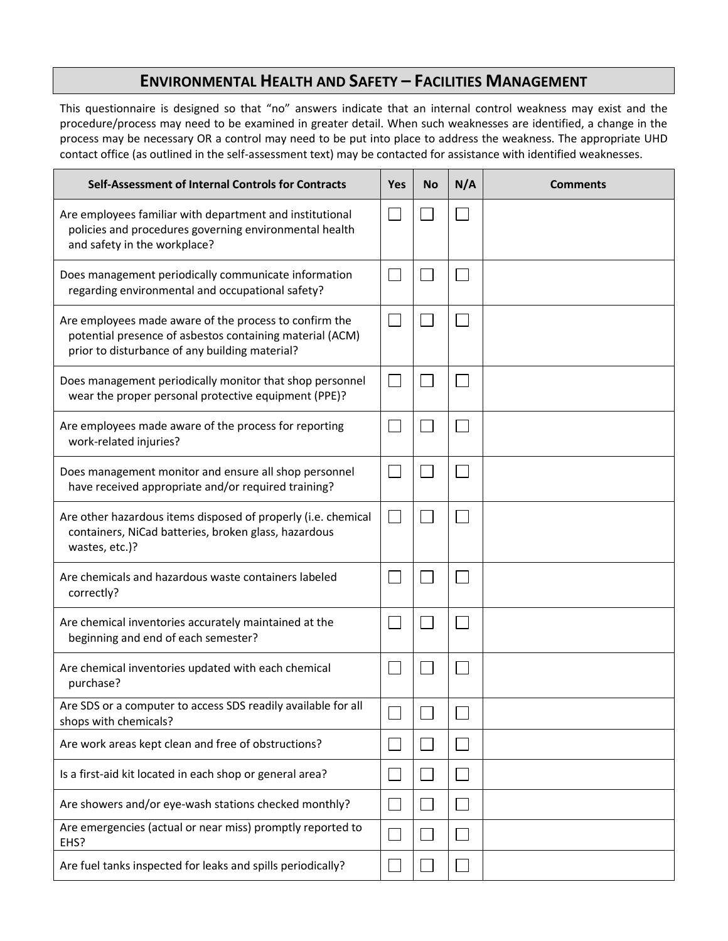# **ENVIRONMENTAL HEALTH AND SAFETY – FACILITIES MANAGEMENT**

This questionnaire is designed so that "no" answers indicate that an internal control weakness may exist and the procedure/process may need to be examined in greater detail. When such weaknesses are identified, a change in the process may be necessary OR a control may need to be put into place to address the weakness. The appropriate UHD contact office (as outlined in the self-assessment text) may be contacted for assistance with identified weaknesses.

| Self-Assessment of Internal Controls for Contracts                                                                                                                   |  | <b>No</b> | N/A | <b>Comments</b> |
|----------------------------------------------------------------------------------------------------------------------------------------------------------------------|--|-----------|-----|-----------------|
| Are employees familiar with department and institutional<br>policies and procedures governing environmental health<br>and safety in the workplace?                   |  |           |     |                 |
| Does management periodically communicate information<br>regarding environmental and occupational safety?                                                             |  |           |     |                 |
| Are employees made aware of the process to confirm the<br>potential presence of asbestos containing material (ACM)<br>prior to disturbance of any building material? |  |           |     |                 |
| Does management periodically monitor that shop personnel<br>wear the proper personal protective equipment (PPE)?                                                     |  |           |     |                 |
| Are employees made aware of the process for reporting<br>work-related injuries?                                                                                      |  |           |     |                 |
| Does management monitor and ensure all shop personnel<br>have received appropriate and/or required training?                                                         |  |           |     |                 |
| Are other hazardous items disposed of properly (i.e. chemical<br>containers, NiCad batteries, broken glass, hazardous<br>wastes, etc.)?                              |  |           |     |                 |
| Are chemicals and hazardous waste containers labeled<br>correctly?                                                                                                   |  |           |     |                 |
| Are chemical inventories accurately maintained at the<br>beginning and end of each semester?                                                                         |  |           |     |                 |
| Are chemical inventories updated with each chemical<br>purchase?                                                                                                     |  |           |     |                 |
| Are SDS or a computer to access SDS readily available for all<br>shops with chemicals?                                                                               |  |           |     |                 |
| Are work areas kept clean and free of obstructions?                                                                                                                  |  |           |     |                 |
| Is a first-aid kit located in each shop or general area?                                                                                                             |  |           |     |                 |
| Are showers and/or eye-wash stations checked monthly?                                                                                                                |  |           |     |                 |
| Are emergencies (actual or near miss) promptly reported to<br>EHS?                                                                                                   |  |           |     |                 |
| Are fuel tanks inspected for leaks and spills periodically?                                                                                                          |  |           |     |                 |